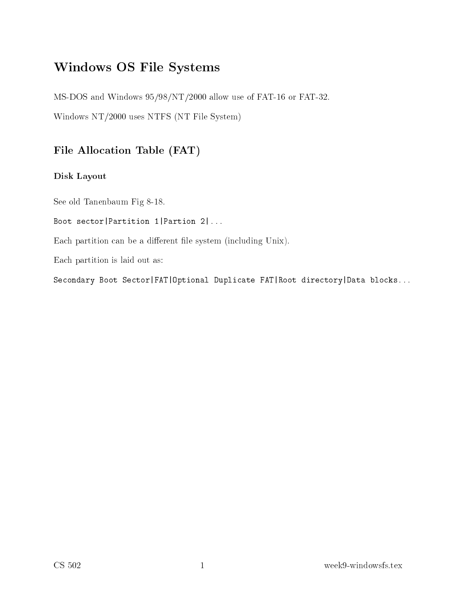# Windows OS File Systems

MS-DOS and Windows 95/98/NT/2000 allow use of FAT-16 or FAT-32.

Windows NT/2000 uses NTFS (NT File System)

### File Allocation Table (FAT)

### Disk Layout

See old Tanenbaum Fig 8-18.

Boot sector | Partition 1 | Partion 2 | ...

Each partition can be a different file system (including Unix).

Ea
h partition is laid out as:

Secondary Boot Sector | FAT | Optional Duplicate FAT | Root directory | Data blocks...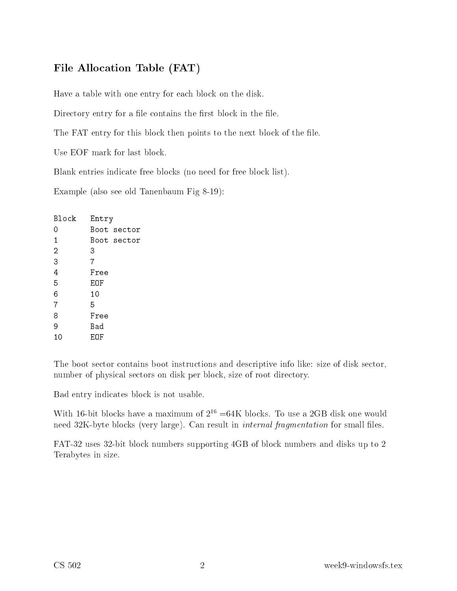## File Allocation Table (FAT)

Have a table with one entry for ea
h blo
k on the disk.

Directory entry for a file contains the first block in the file.

The FAT entry for this block then points to the next block of the file.

Use EOF mark for last blo
k.

Blank entries indicate free blocks (no need for free block list).

Example (also see old Tanenbaum Fig 8-19):

| Block          | Entry |             |
|----------------|-------|-------------|
| 0              |       | Boot sector |
| 1              |       | Boot sector |
| $\overline{2}$ | 3     |             |
| 3              | 7     |             |
| 4              | Free  |             |
| 5              | EOF   |             |
| 6              | 10    |             |
| $\overline{7}$ | 5     |             |
| 8              | Free  |             |
| 9              | Bad   |             |
| 10             | EOF   |             |
|                |       |             |

The boot sector contains boot instructions and descriptive info like: size of disk sector, number of physi
al se
tors on disk per blo
k, size of root dire
tory.

Bad entry indi
ates blo
k is not usable.

WITH 10-bit blocks have a maximum of  $\Delta$  =64K blocks. To use a  $\Delta$ GD disk one would need 32K-byte blocks (very large). Can result in *internal fragmentation* for small files.

FAT-32 uses 32-bit blo
k numbers supporting 4GB of blo
k numbers and disks up to 2 Terabytes in size.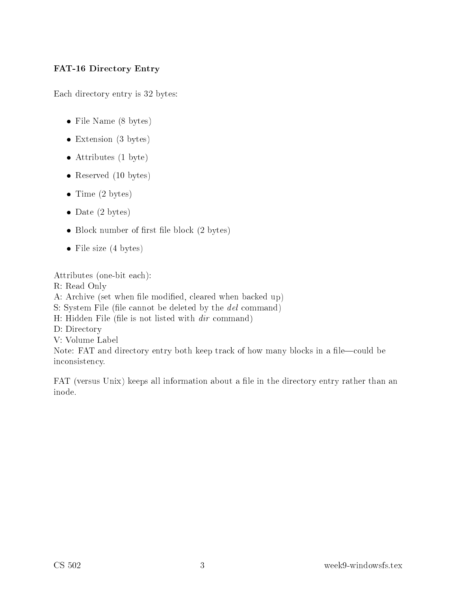### FAT-16 Dire
tory Entry

Each directory entry is 32 bytes:

- File Name (8 bytes)
- Extension (3 bytes)
- Attributes (1 byte)
- Reserved (10 bytes)
- $\bullet$  Time (2 bytes)
- Date (2 bytes)
- $\bullet$  Block number of first file block (2 bytes)
- File size  $(4 \text{ bytes})$

Attributes (one-bit ea
h): R: Read Only A: Archive (set when file modified, cleared when backed up) S: System File (file cannot be deleted by the *del* command) H: Hidden File (file is not listed with  $dir$  command) D: Directory V: Volume Label Note: FAT and directory entry both keep track of how many blocks in a file—could be in
onsisten
y.

FAT (versus Unix) keeps all information about a file in the directory entry rather than an inode.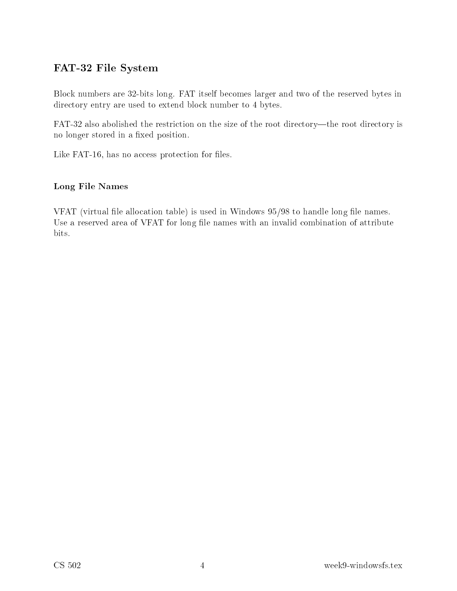### FAT-32 File System

Blo
k numbers are 32-bits long. FAT itself be
omes larger and two of the reserved bytes in directory entry are used to extend block number to 4 bytes.

FAT-32 also abolished the restriction on the size of the root directory—the root directory is no longer stored in a fixed position.

Like FAT-16, has no access protection for files.

### Long File Names

VFAT (virtual file allocation table) is used in Windows  $95/98$  to handle long file names. Use a reserved area of VFAT for long file names with an invalid combination of attribute bits.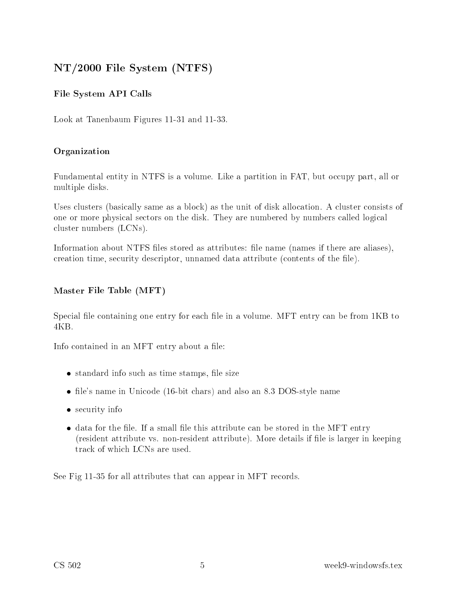# NT/2000 File System (NTFS)

### File System API Calls

Look at Tanenbaum Figures 11-31 and 11-33.

### Organization

Fundamental entity in NTFS is a volume. Like a partition in FAT, but occupy part, all or multiple disks.

Uses clusters (basically same as a block) as the unit of disk allocation. A cluster consists of one or more physical sectors on the disk. They are numbered by numbers called logical cluster numbers (LCNs).

Information about NTFS files stored as attributes: file name (names if there are aliases), creation time, security descriptor, unnamed data attribute (contents of the file).

### Master File Table (MFT)

Special file containing one entry for each file in a volume. MFT entry can be from 1KB to

Info contained in an MFT entry about a file:

- standard info such as time stamps, file size
- file's name in Unicode (16-bit chars) and also an 8.3 DOS-style name
- security info
- data for the file. If a small file this attribute can be stored in the MFT entry (resident attribute vs. non-resident attribute). More details if file is larger in keeping tra
k of whi
h LCNs are used.

See Fig 11-35 for all attributes that can appear in MFT records.